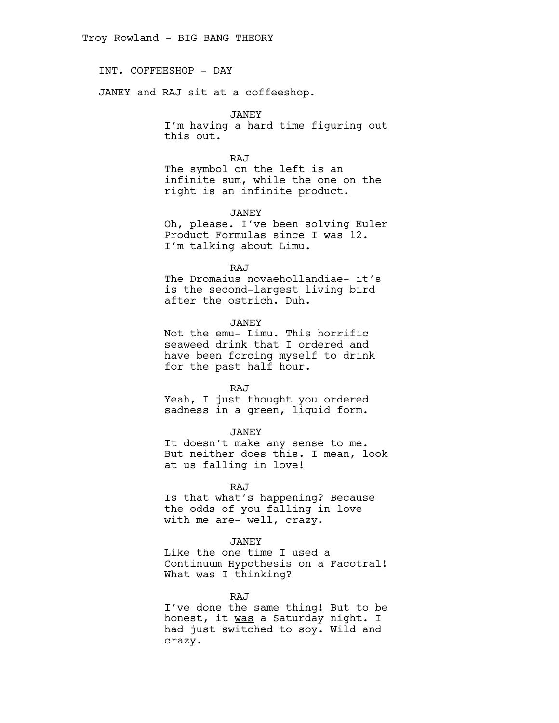INT. COFFEESHOP - DAY

JANEY and RAJ sit at a coffeeshop.

JANEY I'm having a hard time figuring out this out.

RAJ The symbol on the left is an infinite sum, while the one on the right is an infinite product.

JANEY

Oh, please. I've been solving Euler Product Formulas since I was 12. I'm talking about Limu.

RAJ

The Dromaius novaehollandiae- it's is the second-largest living bird after the ostrich. Duh.

JANEY

Not the emu- Limu. This horrific seaweed drink that I ordered and have been forcing myself to drink for the past half hour.

RAJ

Yeah, I just thought you ordered sadness in a green, liquid form.

JANEY

It doesn't make any sense to me. But neither does this. I mean, look at us falling in love!

RAJ

Is that what's happening? Because the odds of you falling in love with me are- well, crazy.

## JANEY

Like the one time I used a Continuum Hypothesis on a Facotral! What was I thinking?

RAJ

I've done the same thing! But to be honest, it was a Saturday night. I had just switched to soy. Wild and crazy.